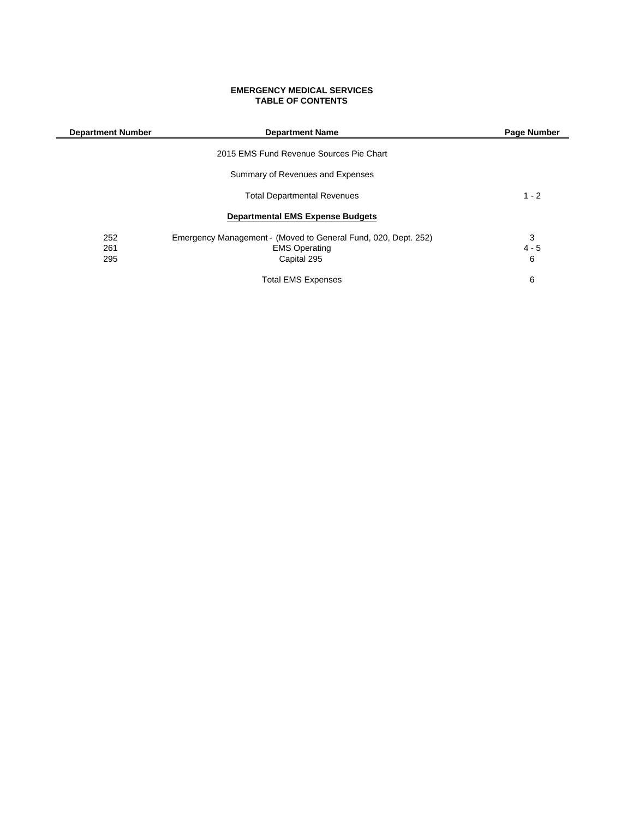#### **EMERGENCY MEDICAL SERVICES TABLE OF CONTENTS**

| <b>Department Number</b> | <b>Department Name</b>                                         | Page Number |
|--------------------------|----------------------------------------------------------------|-------------|
|                          | 2015 EMS Fund Revenue Sources Pie Chart                        |             |
|                          | Summary of Revenues and Expenses                               |             |
|                          | <b>Total Departmental Revenues</b>                             | $1 - 2$     |
|                          | <b>Departmental EMS Expense Budgets</b>                        |             |
| 252                      | Emergency Management - (Moved to General Fund, 020, Dept. 252) | 3           |
| 261                      | <b>EMS Operating</b>                                           | $4 - 5$     |
| 295                      | Capital 295                                                    | 6           |
|                          | <b>Total EMS Expenses</b>                                      | 6           |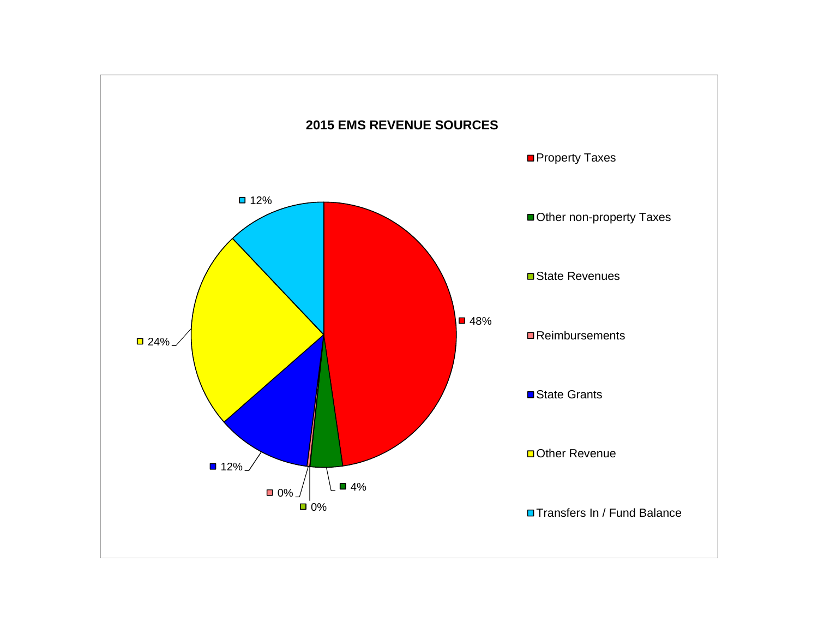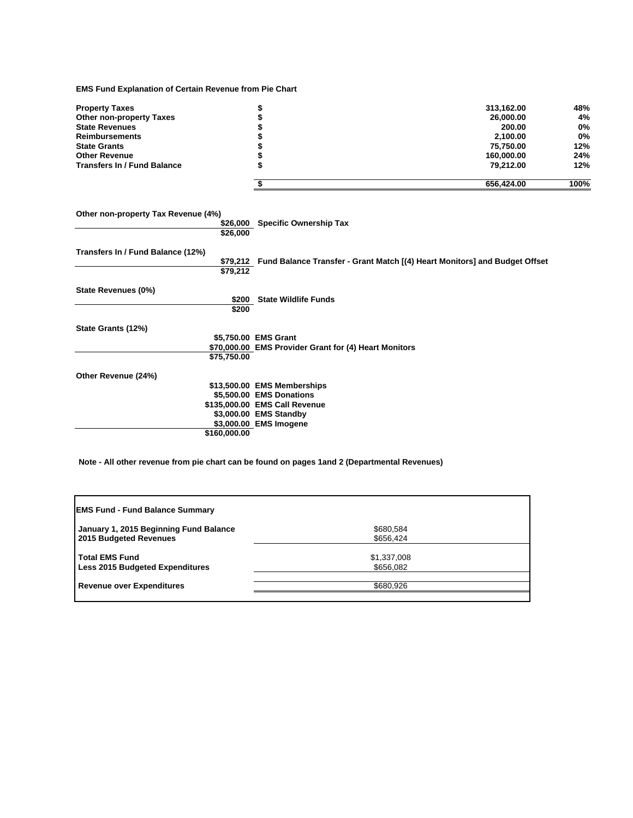**EMS Fund Explanation of Certain Revenue from Pie Chart**

| <b>Property Taxes</b>              | 313,162.00 | 48%  |
|------------------------------------|------------|------|
| <b>Other non-property Taxes</b>    | 26.000.00  | 4%   |
| <b>State Revenues</b>              | 200.00     | 0%   |
| <b>Reimbursements</b>              | 2.100.00   | 0%   |
| <b>State Grants</b>                | 75.750.00  | 12%  |
| <b>Other Revenue</b>               | 160,000,00 | 24%  |
| <b>Transfers In / Fund Balance</b> | 79.212.00  | 12%  |
|                                    | 656.424.00 | 100% |

**Other non-property Tax Revenue (4%) \$26,000 Specific Ownership Tax \$26,000 Transfers In / Fund Balance (12%) \$79,212 Fund Balance Transfer - Grant Match [(4) Heart Monitors] and Budget Offset \$79,212 State Revenues (0%) \$200 State Wildlife Funds \$200 State Grants (12%) \$5,750.00 EMS Grant \$70,000.00 EMS Provider Grant for (4) Heart Monitors \$75,750.00 Other Revenue (24%) \$13,500.00 EMS Memberships \$5,500.00 EMS Donations \$135,000.00 EMS Call Revenue \$3,000.00 EMS Standby \$3,000.00 EMS Imogene \$160,000.00**

**Note - All other revenue from pie chart can be found on pages 1and 2 (Departmental Revenues)**

| <b>EMS Fund - Fund Balance Summary</b>                           |                          |  |
|------------------------------------------------------------------|--------------------------|--|
| January 1, 2015 Beginning Fund Balance<br>2015 Budgeted Revenues | \$680,584<br>\$656,424   |  |
| <b>Total EMS Fund</b><br><b>Less 2015 Budgeted Expenditures</b>  | \$1,337,008<br>\$656,082 |  |
| <b>Revenue over Expenditures</b>                                 | \$680,926                |  |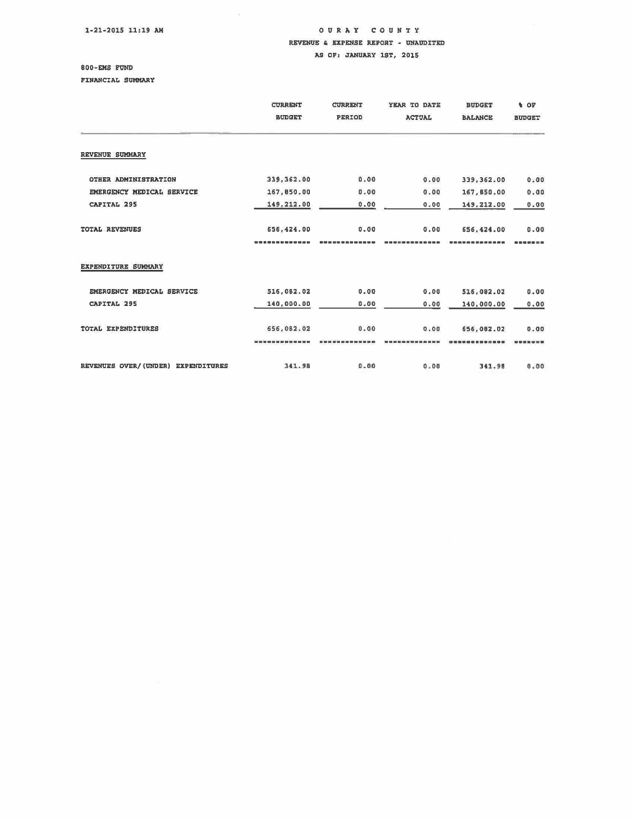1-21-2015 11:19 AM

 $\ddot{\rm o}$ 

## OUR A Y COUNTY REVENUE & EXPENSE REPORT - UNAUDITED AS OF: JANUARY 1ST, 2015

# ODD-EMS FUND

FINANCIAL SUMMARY

|                                    | <b>CURRENT</b><br><b>BUDGET</b> | <b>CURRENT</b><br><b>PERIOD</b> | YEAR TO DATE<br><b>ACTUAL</b> | <b>BUDGET</b><br><b>BALANCE</b> | <b>VOP</b><br><b>BUDGET</b> |
|------------------------------------|---------------------------------|---------------------------------|-------------------------------|---------------------------------|-----------------------------|
| REVENUE SUMMARY                    |                                 |                                 |                               |                                 |                             |
| OTHER ADMINISTRATION               | 339,362.00                      | 0.00                            | 0.00                          | 339, 362.00                     | 0.00                        |
| EMERGENCY MEDICAL SERVICE          | 167,850.00                      | 0.00                            | 0.00                          | 167,850.00                      | 0.00                        |
| CAPITAL 295                        | 149,212.00                      | 0.00                            | 0.00                          | 149,212.00                      | 0.00                        |
| <b>TOTAL REVENUES</b>              | 656,424.00                      | 0.00                            | 0.00                          | 656,424.00                      | 0.00                        |
|                                    |                                 |                                 |                               |                                 |                             |
| EXPENDITURE SUMMARY                |                                 |                                 |                               |                                 |                             |
| EMERGENCY MEDICAL SERVICE          | 516,082.02                      | 0.00                            | 0.00                          | 516,082.02                      | 0.00                        |
| <b>CAPITAL 295</b>                 | 140,000.00                      | 0.00                            | 0.00                          | 140,000.00                      | 0.00                        |
| TOTAL EXPENDITURES                 | 656,082.02                      | 0.00                            | 0.00                          | 656,002.02                      | 0.00                        |
|                                    |                                 |                                 |                               |                                 |                             |
| REVENUES OVER/(UNDER) EXPENDITURES | 341.98                          | 0.00                            | 0.00                          | 341.98                          | 0.00                        |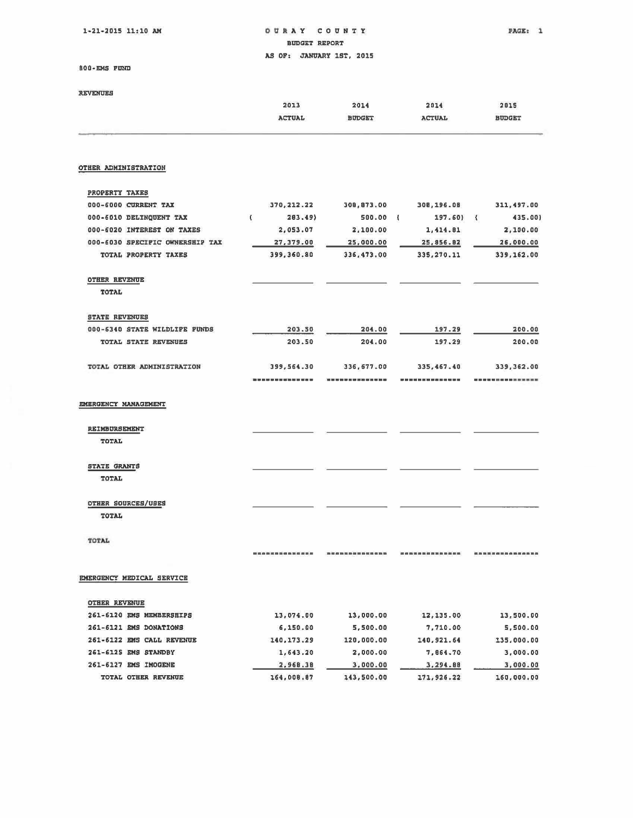1-21-2015 11:10 AM **OURAY COUNTY PAGE:** 1 BUDGET REPORT AS OF: JANUARY 1ST, 2015

BOO·DIS FUND

| <b>REVENUES</b>            | 2013<br><b>ACTUAL</b> | 2014<br><b>BUDGET</b> |   | 2014<br><b>ACTUAL</b> |                              | 2015<br><b>BUDGET</b> |
|----------------------------|-----------------------|-----------------------|---|-----------------------|------------------------------|-----------------------|
| OTHER ADMINISTRATION       |                       |                       |   |                       |                              |                       |
| PROPERTY TAXES             |                       |                       |   |                       |                              |                       |
| 000-6000 CURRENT TAX       | 370, 212.22           | 308,873.00            |   | 308,196.08            |                              | 311,497.00            |
| 000-6010 DELINQUENT TAX    | 283.49                | 500.00                | Æ | 197.60)               | $\left\langle \right\rangle$ | 435.00)               |
| 000-6020 INTEREST ON TAXES | 2,053.07              | 2,100.00              |   | 1,414.81              |                              | 2,100.00              |

| 000-6030 SPECIFIC OWNERSHIP TAX    | 27,379.00                                    | 25,000.00  | 25,856.82   | 26,000.00  |
|------------------------------------|----------------------------------------------|------------|-------------|------------|
| TOTAL PROPERTY TAXES               | 399,360.80                                   | 336,473.00 | 335, 270.11 | 339,162.00 |
| <b>OTHER REVENUE</b>               |                                              |            |             |            |
| <b>TOTAL</b>                       |                                              |            |             |            |
| <b>STATE REVENUES</b>              |                                              |            |             |            |
| 000-6340 STATE WILDLIFE FUNDS      | 203.50                                       | 204.00     | 197.29      | 200.00     |
| <b>TOTAL STATE REVENUES</b>        | 203.50                                       | 204.00     | 197.29      | 200.00     |
| TOTAL OTHER ADMINISTRATION         | 399,564.30                                   | 336,677.00 | 335,467.40  | 339,362.00 |
|                                    | 200 BM DE SE OF ALC THE 200 BM DE SEE ON THE |            |             |            |
| EMERGENCY MANAGEMENT               |                                              |            |             |            |
| REIMBURSEMENT<br><b>TOTAL</b>      |                                              |            |             |            |
| STATE GRANTS<br>TOTAL              |                                              |            |             |            |
| OTHER SOURCES/USES<br><b>TOTAL</b> |                                              |            |             |            |
|                                    |                                              |            |             |            |

TOTAl.

EMERGENCY MEDICAL SERVICE

| <b>OTHER REVENUE</b>                     |            |            |            |            |
|------------------------------------------|------------|------------|------------|------------|
| <b>MEMBERSHIPS</b><br>261-6120<br>EMS    | 13,074.00  | 13,000.00  | 12,135.00  | 13,500.00  |
| $261 - 6121$<br><b>EMS DONATIONS</b>     | 6,150.00   | 5,500.00   | 7.710.00   | 5,500.00   |
| 261-6122 EMS CALL REVENUE                | 140.173.29 | 120,000.00 | 140,921.64 | 135,000.00 |
| 261-6125<br><b>EMS</b><br><b>STANDBY</b> | 1,643.20   | 2,000.00   | 7.864.70   | 3,000.00   |
| IMOGENE<br>$261 - 6127$<br>EMS           | 2,968.38   | 3,000.00   | 3,294.88   | 3,000.00   |
| <b>OTHER REVENUE</b><br>TOTAL            | 164,008.87 | 143,500.00 | 171.926.22 | 160,000.00 |

**.............. .............. .............. ...............**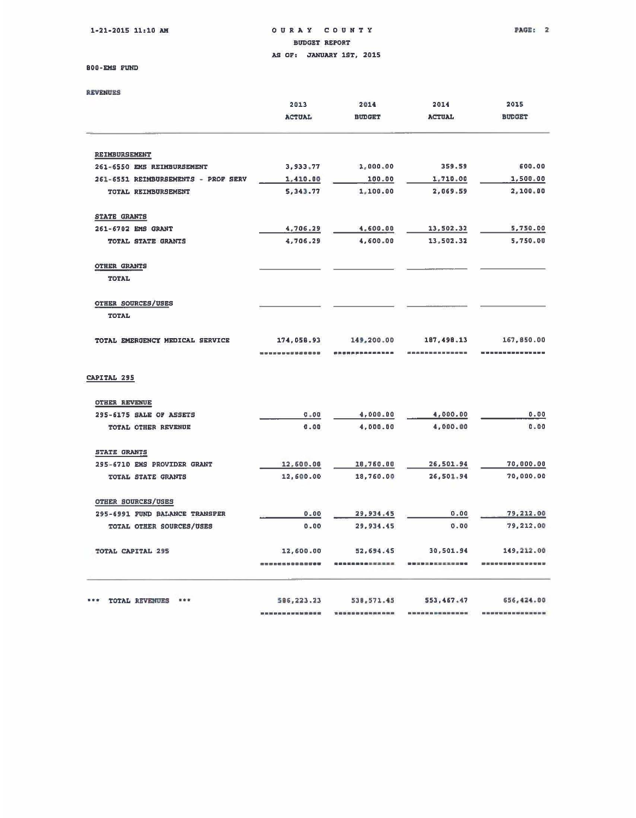$1-21-2015$  11:10 AM OURAY COUNTY PAGE: 2 BUDGET REPORT AS OF: JANUARY 1ST. 2015

#### 800 · EMS FUND

| <b>REVENUES</b>                     |               |               |               |               |
|-------------------------------------|---------------|---------------|---------------|---------------|
|                                     | 2013          | 2014          | 2014          | 2015          |
|                                     | <b>ACTUAL</b> | <b>BUDGET</b> | <b>ACTUAL</b> | <b>BUDGET</b> |
| REIMBURSEMENT                       |               |               |               |               |
| 261-6550 EMS REIMBURSEMENT          | 3,933.77      | 1,000.00      | 359.59        | 600.00        |
| 261-6551 REIMBURSEMENTS - PROF SERV | 1,410.00      | 100.00        | 1,710.00      | 1,500.00      |
| TOTAL REIMBURSEMENT                 | 5, 343.77     | 1,100.00      | 2,069.59      | 2,100.00      |
| <b>STATE GRANTS</b>                 |               |               |               |               |
| 261-6702 EMS GRANT                  | 4,706.29      | 4,600.00      | 13,502.32     | 5,750.00      |
| TOTAL STATE GRANTS                  | 4,706.29      | 4,600.00      | 13,502.32     | 5,750.00      |
| OTHER GRANTS                        |               |               |               |               |
| <b>TOTAL</b>                        |               |               |               |               |
| <b>OTHER SOURCES/USES</b>           |               |               |               |               |
| <b>TOTAL</b>                        |               |               |               |               |
| TOTAL EMERGENCY MEDICAL SERVICE     | 174,058.93    | 149,200.00    | 187,498.13    | 167,850.00    |
|                                     |               |               |               |               |
| CAPITAL 295                         |               |               |               |               |
| <b>OTHER REVENUE</b>                |               |               |               |               |
| 295-6175 SALE OF ASSETS             | $0 - 00$      | 4,000.00      | 4,000.00      | 0.00          |
| TOTAL OTHER REVENUE                 | 0.00          | 4,000.00      | 4,000.00      | 0.00          |

| ***<br>TOTAL REVENUES                                       | 586,223,23        | 538.571.45 | 553, 467.47          | 656,424.00 |
|-------------------------------------------------------------|-------------------|------------|----------------------|------------|
|                                                             | <b>前前最簡數章章程</b> 是 |            |                      |            |
| TOTAL CAPITAL 295                                           | 12,600.00         | 52,694.45  | 30,501.94            | 149,212.00 |
| TOTAL OTHER SOURCES/USES                                    | 0.00              | 29.934.45  | 0.00                 | 79,212,00  |
| <b>OTHER SOURCES/USES</b><br>295-6991 FUND BALANCE TRANSFER | 0.00              | 29, 934.45 | 0.00                 | 79,212.00  |
|                                                             |                   |            |                      |            |
| TOTAL STATE GRANTS                                          | 12,600.00         | 18,760.00  | 26,501.94            | 70,000.00  |
| 295-6710 EMS PROVIDER GRANT                                 | 12,600.00         | 10,760.00  | 26,501.94            | 70,000.00  |
| <b>STATE GRANTS</b>                                         |                   |            |                      |            |
| 어지던 무리 지도 못해서 작은 그는 거 없어서 사람이 아까지 보았다.                      | 1996. THE REPORTS |            | こうこうせいこう オンディング いっしき |            |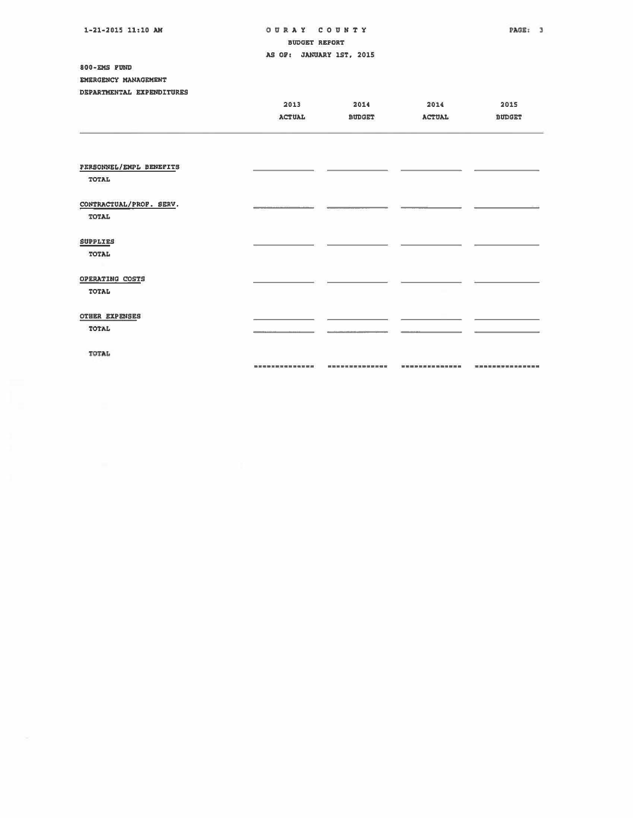| 1-21-2015 11:10 AM<br>OURAY COUNTY      |                          |                         | PAGE: 3       |                        |
|-----------------------------------------|--------------------------|-------------------------|---------------|------------------------|
|                                         | <b>BUDGET REPORT</b>     |                         |               |                        |
|                                         | AS OF: JANUARY 1ST, 2015 |                         |               |                        |
| 800-EMS FUND                            |                          |                         |               |                        |
| EMERGENCY MANAGEMENT                    |                          |                         |               |                        |
| DEPARTMENTAL EXPENDITURES               |                          |                         |               |                        |
|                                         | 2013                     | 2014                    | 2014          | 2015                   |
|                                         | <b>ACTUAL</b>            | <b>BUDGET</b>           | <b>ACTUAL</b> | <b>BUDGET</b>          |
|                                         |                          |                         |               |                        |
| PERSONNEL/EMPL BENEFITS<br>TOTAL        |                          |                         |               |                        |
| CONTRACTUAL/PROF. SERV.<br><b>TOTAL</b> |                          |                         |               |                        |
| <b>SUPPLIES</b><br><b>TOTAL</b>         |                          |                         |               |                        |
| OPERATING COSTS<br>TOTAL                |                          |                         |               |                        |
| <b>OTHER EXPENSES</b><br>TOTAL          |                          |                         |               |                        |
| TOTAL                                   |                          |                         |               |                        |
|                                         | -------------            | ----------------------- |               | <b>***************</b> |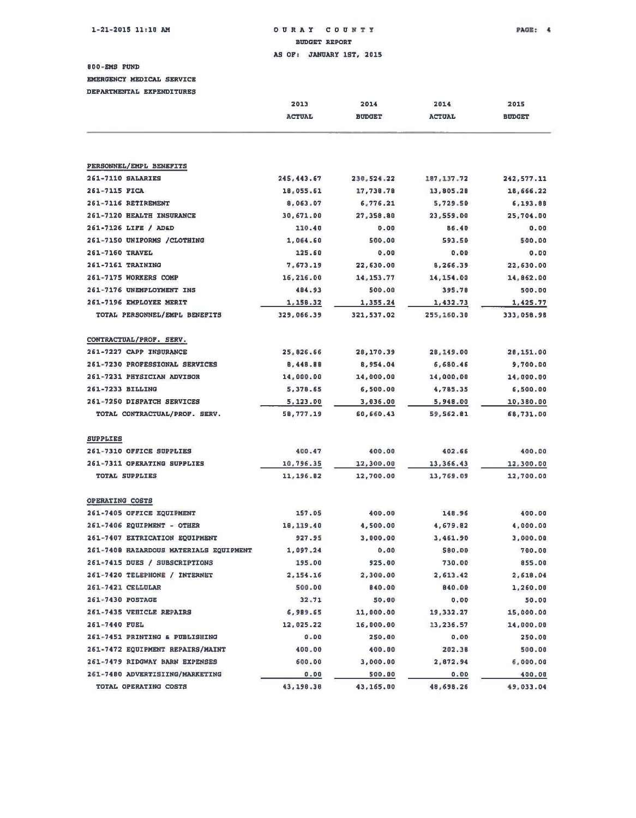### $1-21-2015$  11 $\pm 10$  AM o U R A Y C O U N T Y PAGE:  $4$ BUDGET REPORT

AS OF: JANUARY 1ST, 2015

800 - EMS FOND

EMERGENCY MEDICAL SERVICE

DEPARTMENTAL EXPENDITURES

|                                        | 2013          | 2014          | 2014          | 2015          |
|----------------------------------------|---------------|---------------|---------------|---------------|
|                                        | <b>ACTUAL</b> | <b>BUDGET</b> | <b>ACTUAL</b> | <b>BUDGET</b> |
|                                        |               |               |               |               |
| PERSONNEL/EMPL BENEFITS                |               |               |               |               |
| 261-7110 SALARIES                      | 245, 443.67   | 230,524.22    | 187, 137.72   | 242, 577.11   |
| 261-7115 FICA                          | 18,055.61     | 17,738.78     | 13,805.20     | 18,666.22     |
| 261-7116 RETIREMENT                    | 8,063.07      | 6,776.21      | 5,729.50      | 6,193.88      |
| 261-7120 HEALTH INSURANCE              | 30,671.00     | 27,358.80     | 23,559.00     | 25,704.00     |
| 261-7126 LIFE / AD&D                   | 110.40        | 0.00          | 86.40         | 0.00          |
| 261-7150 UNIFORMS / CLOTHING           | 1,064.60      | 500.00        | 593.50        | 500.00        |
| 261-7160 TRAVEL                        | 125.60        | 0.00          | 0.00          | 0.00          |
| 261-7161 TRAINING                      | 7,673.19      | 22,630.00     | 8,266.39      | 22,630.00     |
| 261-7175 WORKERS COMP                  | 16,216.00     | 14, 153.77    | 14,154.00     | 14,862.00     |
| 261-7176 UNEMPLOYMENT INS              | 484.93        | 500.00        | 395.70        | 500.00        |
| 261-7196 EMPLOYEE MERIT                | 1,158.32      | 1,355.24      | 1,432.73      | 1,425.77      |
| TOTAL PERSONNEL/EMPL BENEFITS          | 329,066.39    | 321,537.02    | 255,160.30    | 333,058.98    |
|                                        |               |               |               |               |
| CONTRACTUAL/PROF. SERV.                |               |               |               |               |
| 261-7227 CAPP INSURANCE                | 25,826.66     | 28,170.39     | 28,149.00     | 28,151.00     |
| 261-7230 PROFESSIONAL SERVICES         | 8,448.88      | 8,954.04      | 6,680.46      | 9,700.00      |
| 261-7231 PHYSICIAN ADVISOR             | 14,000.00     | 14,000.00     | 14,000.00     | 14,000.00     |
| 261-7233 BILLING                       | 5,378.65      | 6,500.00      | 4,785.35      | 6,500.00      |
| 261-7250 DISPATCH SERVICES             | 5,123.00      | 3,036.00      | 5,948.00      | 10,380.00     |
| TOTAL CONTRACTUAL/PROF. SERV.          | 58,777.19     | 60,660.43     | 59,562.81     | 68,731.00     |
| <b>SUPPLIES</b>                        |               |               |               |               |
| 261-7310 OFFICE SUPPLIES               | 400.47        | 400.00        | 402.66        | 400.00        |
| 261-7311 OPERATING SUPPLIES            | 10,796.35     | 12,300.00     | 13,366.43     | 12,300.00     |
| <b>TOTAL SUPPLIES</b>                  | 11, 196.82    | 12,700.00     | 13,769.09     | 12,700.00     |
|                                        |               |               |               |               |
| OPERATING COSTS                        |               |               |               |               |
| 261-7405 OFFICE EQUIPMENT              | 157.05        | 400.00        | 148.96        | 400.00        |
| 261-7406 EQUIPMENT - OTHER             | 18, 119.40    | 4,500.00      | 4,679.82      | 4,000.00      |
| 261-7407 EXTRICATION EQUIPMENT         | 927.95        | 3,000.00      | 3,461.90      | 3,000.00      |
| 261-7408 HAZARDOUS MATERIALS EQUIPMENT | 1,097.24      | 0.00          | 580.00        | 700.00        |
| 261-7415 DUES / SUBSCRIPTIONS          | 195.00        | 925.00        | 730.00        | 855.00        |
| 261-7420 TELEPHONE / INTERNET          | 2,154.16      | 2,300.00      | 2,613.42      | 2,618.04      |
| 261-7421 CELLULAR                      | 500.00        | 840.00        | 840.00        | 1,260.00      |
| 261-7430 POSTAGE                       | 32.71         | 50.00         | 0.00          | 50.00         |
| 261-7435 VEHICLE REPAIRS               | 6,989.65      | 11,000.00     | 19, 332.27    | 15,000.00     |
| 261-7440 PUEL                          | 12,025.22     | 16,000.00     | 13,236.57     | 14,000.00     |
| 261-7451 PRINTING & PUBLISHING         | $0 - 00$      | 250.00        | 0.00          | 250.00        |
| 261-7472 EQUIPMENT REPAIRS/MAINT       | 400.00        | 400.00        | 202.38        | 500.00        |
| 261-7479 RIDGWAY BARN EXPENSES         | 600.00        | 3,000.00      | 2,872.94      | 6,000.00      |
| 261-7480 ADVERTISIING/MARKETING        | $0 - 00$      | 500.00        | 0.00          | 400.00        |
| TOTAL OPERATING COSTS                  | 43,190.38     | 43,165.00     | 48,698.26     | 49,033.04     |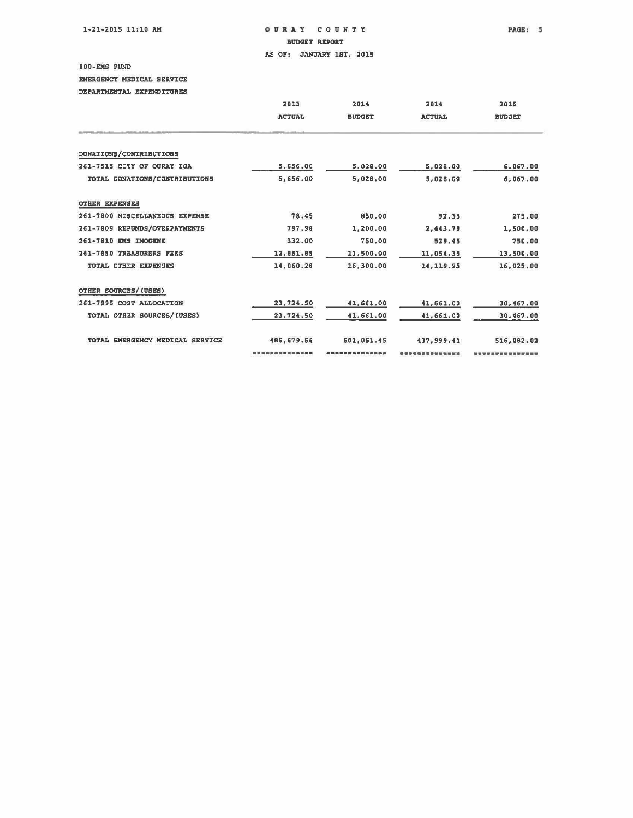$1-21-2015$  11:10 AM  $O$  URAY COUNTY , PAGE: 5

BUDGET REPORT

AS OF: JANUARY 1ST, 2015

800-EMS FUND

EMERGENCY MEDICAL SERVICE

DEPARTMENTAL EXPENDITURES

|                                 | 2013          | 2014          | 2014          | 2015          |  |
|---------------------------------|---------------|---------------|---------------|---------------|--|
|                                 | <b>ACTUAL</b> | <b>BUDGET</b> | <b>ACTUAL</b> | <b>BUDGET</b> |  |
|                                 |               |               |               |               |  |
| DONATIONS/CONTRIBUTIONS         |               |               |               |               |  |
| 261-7515 CITY OF OURAY IGA      | 5,656.00      | 5,028.00      | 5,028.00      | 6,067.00      |  |
| TOTAL DONATIONS/CONTRIBUTIONS   | 5,656.00      | 5,028.00      | 5,028.00      | 6,067.00      |  |
| <b>OTHER EXPENSES</b>           |               |               |               |               |  |
| 261-7800 MISCELLANEOUS EXPENSE  | 78.45         | 850.00        | 92.33         | 275.00        |  |
| 261-7809 REPUNDS/OVERPAYMENTS   | 797.98        | 1,200.00      | 2,443.79      | 1,500.00      |  |
| 261-7810 EMS IMOGENE            | 332.00        | 750.00        | 529.45        | 750.00        |  |
| 261-7850 TREASURERS FEES        | 12,851.85     | 13,500.00     | 11,054.38     | 13,500.00     |  |
| TOTAL OTHER EXPENSES            | 14,060.28     | 16,300.00     | 14, 119.95    | 16,025.00     |  |
| OTHER SOURCES/(USES)            |               |               |               |               |  |
| 261-7995 COST ALLOCATION        | 23,724.50     | 41,661.00     | 41,661.00     | 30,467.00     |  |
| TOTAL OTHER SOURCES/(USES)      | 23,724.50     | 41,661.00     | 41,661.00     | 30,467.00     |  |
| TOTAL EMERGENCY MEDICAL SERVICE | 485.679.56    | 501,051.45    | 437,999.41    | 516,082.02    |  |
|                                 |               |               |               |               |  |